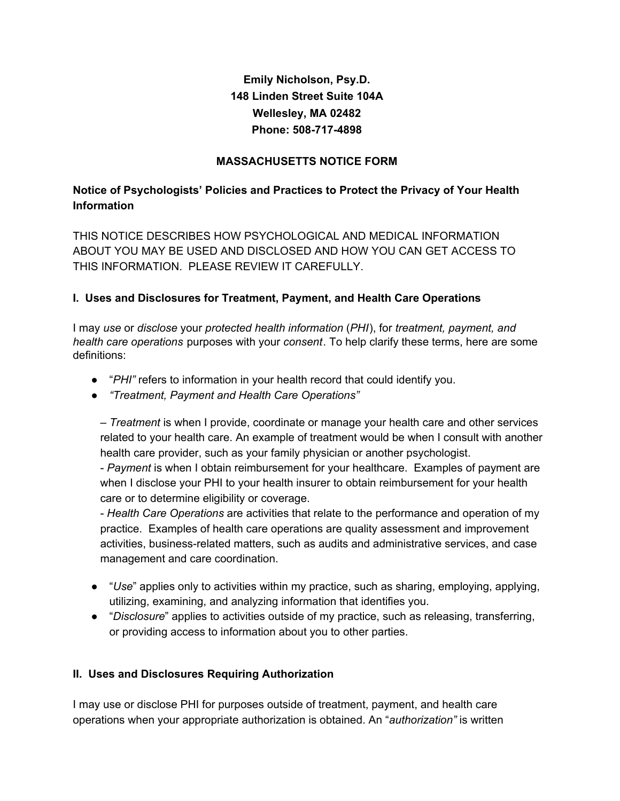# **Emily Nicholson, Psy.D. 148 Linden Street Suite 104A Wellesley, MA 02482 Phone: 508-717-4898**

### **MASSACHUSETTS NOTICE FORM**

## **Notice of Psychologists' Policies and Practices to Protect the Privacy of Your Health Information**

THIS NOTICE DESCRIBES HOW PSYCHOLOGICAL AND MEDICAL INFORMATION ABOUT YOU MAY BE USED AND DISCLOSED AND HOW YOU CAN GET ACCESS TO THIS INFORMATION. PLEASE REVIEW IT CAREFULLY.

### **I. Uses and Disclosures for Treatment, Payment, and Health Care Operations**

I may *use* or *disclose* your *protected health information* (*PHI*), for *treatment, payment, and health care operations* purposes with your *consent*. To help clarify these terms, here are some definitions:

- "*PHI"* refers to information in your health record that could identify you.
- *"Treatment, Payment and Health Care Operations"*

– *Treatment* is when I provide, coordinate or manage your health care and other services related to your health care. An example of treatment would be when I consult with another health care provider, such as your family physician or another psychologist.

- *Payment* is when I obtain reimbursement for your healthcare. Examples of payment are when I disclose your PHI to your health insurer to obtain reimbursement for your health care or to determine eligibility or coverage.

- *Health Care Operations* are activities that relate to the performance and operation of my practice. Examples of health care operations are quality assessment and improvement activities, business-related matters, such as audits and administrative services, and case management and care coordination.

- "*Use*" applies only to activities within my practice, such as sharing, employing, applying, utilizing, examining, and analyzing information that identifies you.
- "*Disclosure*" applies to activities outside of my practice, such as releasing, transferring, or providing access to information about you to other parties.

#### **II. Uses and Disclosures Requiring Authorization**

I may use or disclose PHI for purposes outside of treatment, payment, and health care operations when your appropriate authorization is obtained. An "*authorization"* is written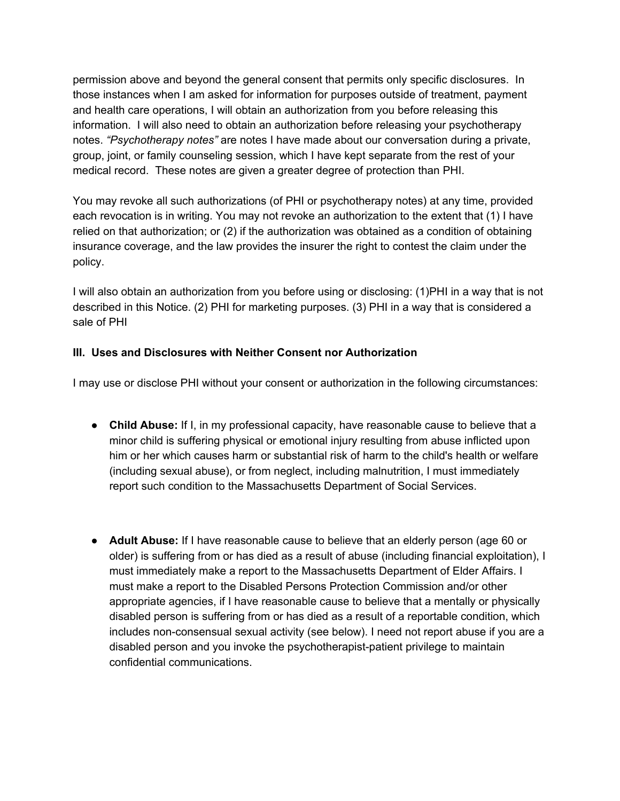permission above and beyond the general consent that permits only specific disclosures. In those instances when I am asked for information for purposes outside of treatment, payment and health care operations, I will obtain an authorization from you before releasing this information. I will also need to obtain an authorization before releasing your psychotherapy notes. *"Psychotherapy notes"* are notes I have made about our conversation during a private, group, joint, or family counseling session, which I have kept separate from the rest of your medical record. These notes are given a greater degree of protection than PHI.

You may revoke all such authorizations (of PHI or psychotherapy notes) at any time, provided each revocation is in writing. You may not revoke an authorization to the extent that (1) I have relied on that authorization; or (2) if the authorization was obtained as a condition of obtaining insurance coverage, and the law provides the insurer the right to contest the claim under the policy.

I will also obtain an authorization from you before using or disclosing: (1)PHI in a way that is not described in this Notice. (2) PHI for marketing purposes. (3) PHI in a way that is considered a sale of PHI

#### **III. Uses and Disclosures with Neither Consent nor Authorization**

I may use or disclose PHI without your consent or authorization in the following circumstances:

- **Child Abuse:** If I, in my professional capacity, have reasonable cause to believe that a minor child is suffering physical or emotional injury resulting from abuse inflicted upon him or her which causes harm or substantial risk of harm to the child's health or welfare (including sexual abuse), or from neglect, including malnutrition, I must immediately report such condition to the Massachusetts Department of Social Services.
- **Adult Abuse:** If I have reasonable cause to believe that an elderly person (age 60 or older) is suffering from or has died as a result of abuse (including financial exploitation), I must immediately make a report to the Massachusetts Department of Elder Affairs. I must make a report to the Disabled Persons Protection Commission and/or other appropriate agencies, if I have reasonable cause to believe that a mentally or physically disabled person is suffering from or has died as a result of a reportable condition, which includes non-consensual sexual activity (see below). I need not report abuse if you are a disabled person and you invoke the psychotherapist-patient privilege to maintain confidential communications.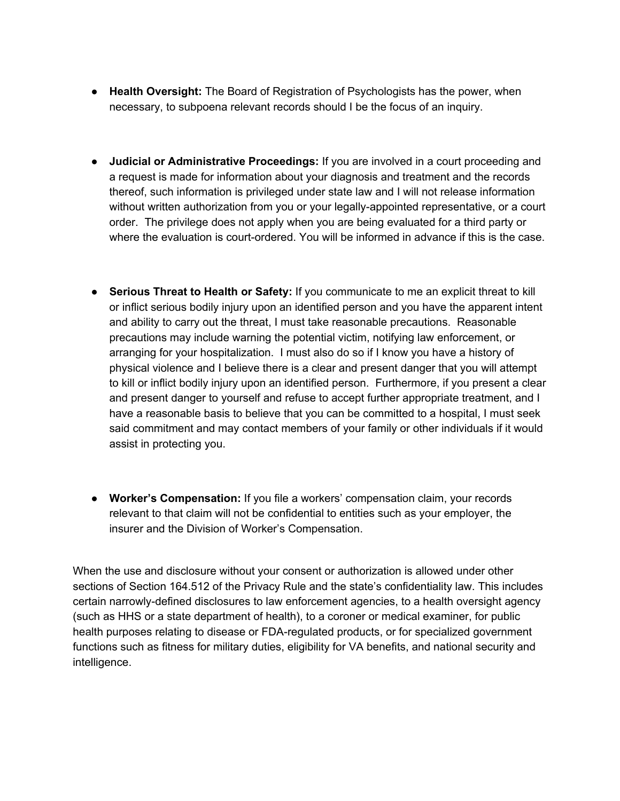- **Health Oversight:** The Board of Registration of Psychologists has the power, when necessary, to subpoena relevant records should I be the focus of an inquiry.
- **Judicial or Administrative Proceedings:** If you are involved in a court proceeding and a request is made for information about your diagnosis and treatment and the records thereof, such information is privileged under state law and I will not release information without written authorization from you or your legally-appointed representative, or a court order. The privilege does not apply when you are being evaluated for a third party or where the evaluation is court-ordered. You will be informed in advance if this is the case.
- **Serious Threat to Health or Safety:** If you communicate to me an explicit threat to kill or inflict serious bodily injury upon an identified person and you have the apparent intent and ability to carry out the threat, I must take reasonable precautions. Reasonable precautions may include warning the potential victim, notifying law enforcement, or arranging for your hospitalization. I must also do so if I know you have a history of physical violence and I believe there is a clear and present danger that you will attempt to kill or inflict bodily injury upon an identified person. Furthermore, if you present a clear and present danger to yourself and refuse to accept further appropriate treatment, and I have a reasonable basis to believe that you can be committed to a hospital, I must seek said commitment and may contact members of your family or other individuals if it would assist in protecting you.
- **Worker's Compensation:** If you file a workers' compensation claim, your records relevant to that claim will not be confidential to entities such as your employer, the insurer and the Division of Worker's Compensation.

When the use and disclosure without your consent or authorization is allowed under other sections of Section 164.512 of the Privacy Rule and the state's confidentiality law. This includes certain narrowly-defined disclosures to law enforcement agencies, to a health oversight agency (such as HHS or a state department of health), to a coroner or medical examiner, for public health purposes relating to disease or FDA-regulated products, or for specialized government functions such as fitness for military duties, eligibility for VA benefits, and national security and intelligence.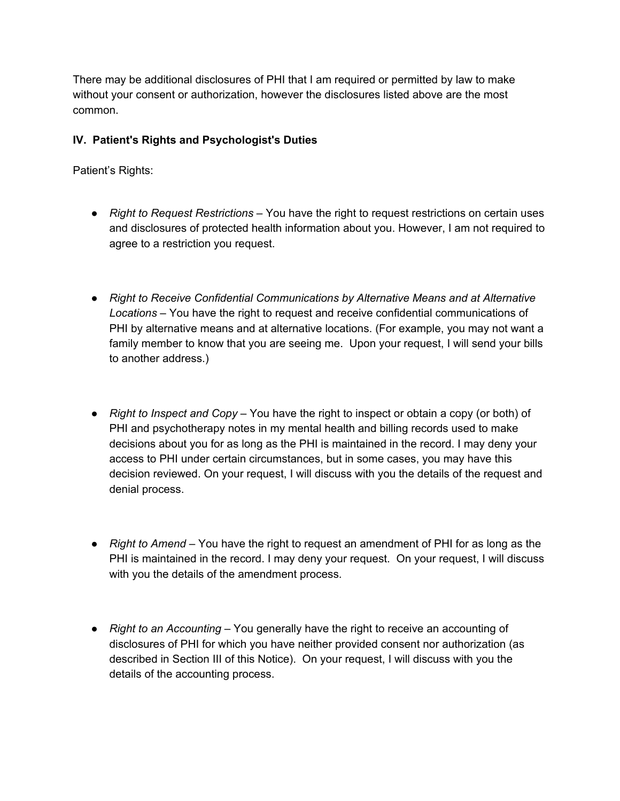There may be additional disclosures of PHI that I am required or permitted by law to make without your consent or authorization, however the disclosures listed above are the most common.

# **IV. Patient's Rights and Psychologist's Duties**

Patient's Rights:

- *Right to Request Restrictions* You have the right to request restrictions on certain uses and disclosures of protected health information about you. However, I am not required to agree to a restriction you request.
- *Right to Receive Confidential Communications by Alternative Means and at Alternative Locations* – You have the right to request and receive confidential communications of PHI by alternative means and at alternative locations. (For example, you may not want a family member to know that you are seeing me. Upon your request, I will send your bills to another address.)
- *Right to Inspect and Copy*  You have the right to inspect or obtain a copy (or both) of PHI and psychotherapy notes in my mental health and billing records used to make decisions about you for as long as the PHI is maintained in the record. I may deny your access to PHI under certain circumstances, but in some cases, you may have this decision reviewed. On your request, I will discuss with you the details of the request and denial process.
- *Right to Amend* You have the right to request an amendment of PHI for as long as the PHI is maintained in the record. I may deny your request. On your request, I will discuss with you the details of the amendment process.
- *Right to an Accounting* You generally have the right to receive an accounting of disclosures of PHI for which you have neither provided consent nor authorization (as described in Section III of this Notice). On your request, I will discuss with you the details of the accounting process.